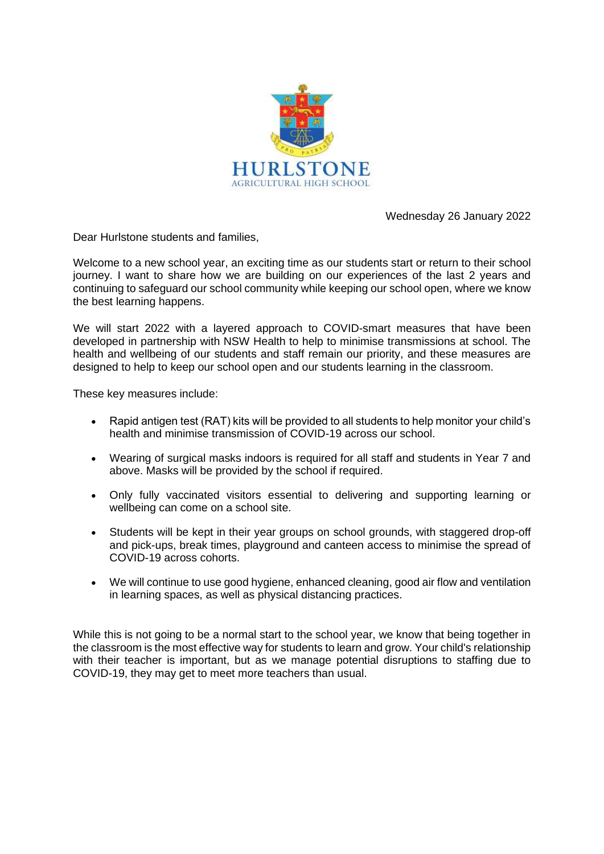

Wednesday 26 January 2022

Dear Hurlstone students and families,

Welcome to a new school year, an exciting time as our students start or return to their school iourney. I want to share how we are building on our experiences of the last 2 years and continuing to safeguard our school community while keeping our school open, where we know the best learning happens.

We will start 2022 with a layered approach to COVID-smart measures that have been developed in partnership with NSW Health to help to minimise transmissions at school. The health and wellbeing of our students and staff remain our priority, and these measures are designed to help to keep our school open and our students learning in the classroom.

These key measures include:

- Rapid antigen test (RAT) kits will be provided to all students to help monitor your child's health and minimise transmission of COVID-19 across our school.
- Wearing of surgical masks indoors is required for all staff and students in Year 7 and above. Masks will be provided by the school if required.
- Only fully vaccinated visitors essential to delivering and supporting learning or wellbeing can come on a school site.
- Students will be kept in their year groups on school grounds, with staggered drop-off and pick-ups, break times, playground and canteen access to minimise the spread of COVID-19 across cohorts.
- We will continue to use good hygiene, enhanced cleaning, good air flow and ventilation in learning spaces, as well as physical distancing practices.

While this is not going to be a normal start to the school year, we know that being together in the classroom is the most effective way for students to learn and grow. Your child's relationship with their teacher is important, but as we manage potential disruptions to staffing due to COVID-19, they may get to meet more teachers than usual.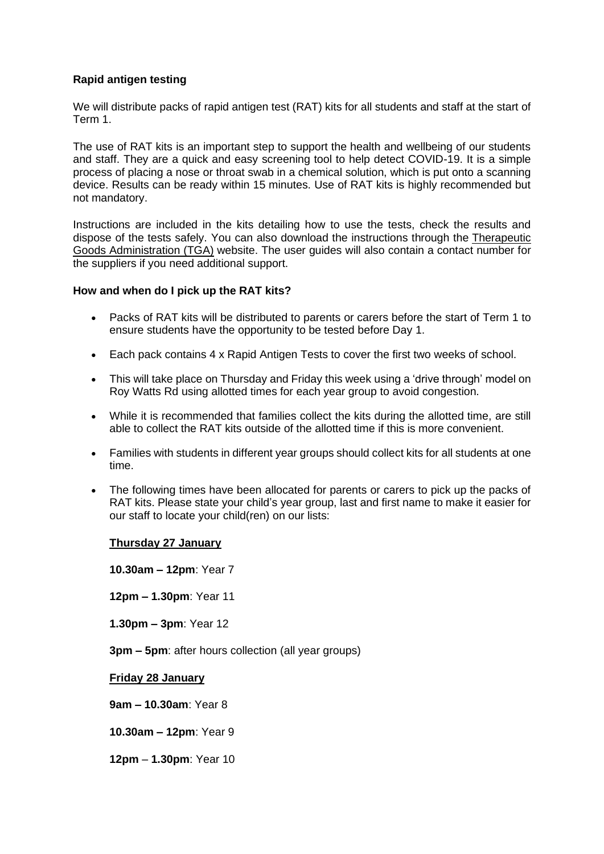# **Rapid antigen testing**

We will distribute packs of rapid antigen test (RAT) kits for all students and staff at the start of Term 1.

The use of RAT kits is an important step to support the health and wellbeing of our students and staff. They are a quick and easy screening tool to help detect COVID-19. It is a simple process of placing a nose or throat swab in a chemical solution, which is put onto a scanning device. Results can be ready within 15 minutes. Use of RAT kits is highly recommended but not mandatory.

Instructions are included in the kits detailing how to use the tests, check the results and dispose of the tests safely. You can also download the instructions through the Therapeutic [Goods Administration \(TGA\)](https://www.tga.gov.au/covid-19-rapid-antigen-self-tests-are-approved-australia) website. The user guides will also contain a contact number for the suppliers if you need additional support.

### **How and when do I pick up the RAT kits?**

- Packs of RAT kits will be distributed to parents or carers before the start of Term 1 to ensure students have the opportunity to be tested before Day 1.
- Each pack contains 4 x Rapid Antigen Tests to cover the first two weeks of school.
- This will take place on Thursday and Friday this week using a 'drive through' model on Roy Watts Rd using allotted times for each year group to avoid congestion.
- While it is recommended that families collect the kits during the allotted time, are still able to collect the RAT kits outside of the allotted time if this is more convenient.
- Families with students in different year groups should collect kits for all students at one time.
- The following times have been allocated for parents or carers to pick up the packs of RAT kits. Please state your child's year group, last and first name to make it easier for our staff to locate your child(ren) on our lists:

# **Thursday 27 January**

**10.30am – 12pm**: Year 7

**12pm – 1.30pm**: Year 11

**1.30pm – 3pm**: Year 12

**3pm – 5pm**: after hours collection (all year groups)

**Friday 28 January**

**9am – 10.30am**: Year 8

**10.30am – 12pm**: Year 9

**12pm** – **1.30pm**: Year 10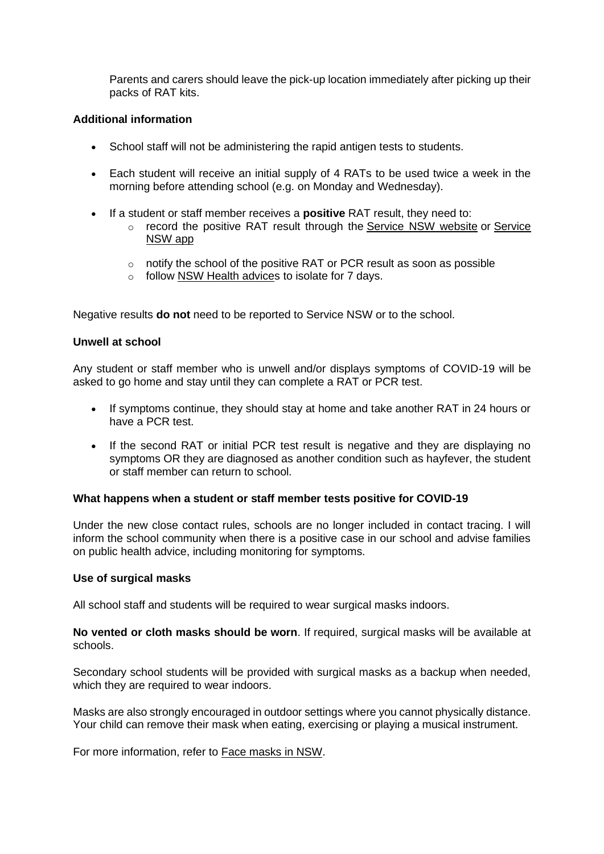Parents and carers should leave the pick-up location immediately after picking up their packs of RAT kits.

# **Additional information**

- School staff will not be administering the rapid antigen tests to students.
- Each student will receive an initial supply of 4 RATs to be used twice a week in the morning before attending school (e.g. on Monday and Wednesday).
- If a student or staff member receives a **positive** RAT result, they need to:
	- o record the positive RAT result through the [Service NSW website](https://www.nsw.gov.au/covid-19/stay-safe/testing/register-positive-rat-test-result) or Service [NSW app](https://www.service.nsw.gov.au/campaign/service-nsw-mobile-app)
	- o notify the school of the positive RAT or PCR result as soon as possible
	- o follow [NSW Health advices](https://www.health.nsw.gov.au/Infectious/covid-19/Pages/self-isolation-and-testing.aspx) to isolate for 7 days.

Negative results **do not** need to be reported to Service NSW or to the school.

### **Unwell at school**

Any student or staff member who is unwell and/or displays symptoms of COVID-19 will be asked to go home and stay until they can complete a RAT or PCR test.

- If symptoms continue, they should stay at home and take another RAT in 24 hours or have a PCR test.
- If the second RAT or initial PCR test result is negative and they are displaying no symptoms OR they are diagnosed as another condition such as hayfever, the student or staff member can return to school.

### **What happens when a student or staff member tests positive for COVID-19**

Under the new close contact rules, schools are no longer included in contact tracing. I will inform the school community when there is a positive case in our school and advise families on public health advice, including monitoring for symptoms.

### **Use of surgical masks**

All school staff and students will be required to wear surgical masks indoors.

**No vented or cloth masks should be worn**. If required, surgical masks will be available at schools.

Secondary school students will be provided with surgical masks as a backup when needed, which they are required to wear indoors.

Masks are also strongly encouraged in outdoor settings where you cannot physically distance. Your child can remove their mask when eating, exercising or playing a musical instrument.

For more information, refer to [Face masks in NSW.](https://www.nsw.gov.au/covid-19/stay-safe/face-masks)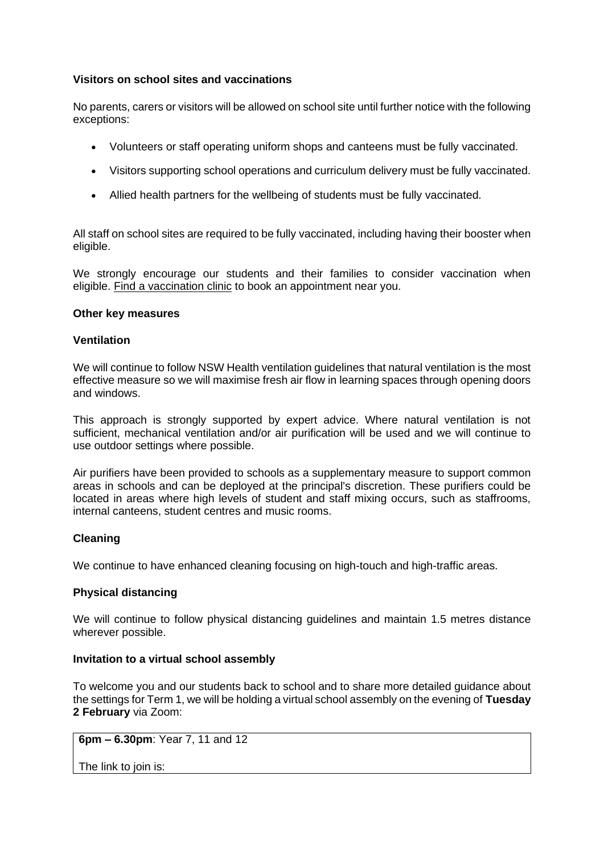## **Visitors on school sites and vaccinations**

No parents, carers or visitors will be allowed on school site until further notice with the following exceptions:

- Volunteers or staff operating uniform shops and canteens must be fully vaccinated.
- Visitors supporting school operations and curriculum delivery must be fully vaccinated.
- Allied health partners for the wellbeing of students must be fully vaccinated.

All staff on school sites are required to be fully vaccinated, including having their booster when eligible.

We strongly encourage our students and their families to consider vaccination when eligible. [Find a vaccination clinic](https://covid-vaccine.healthdirect.gov.au/booking/) to book an appointment near you.

### **Other key measures**

## **Ventilation**

We will continue to follow NSW Health ventilation guidelines that natural ventilation is the most effective measure so we will maximise fresh air flow in learning spaces through opening doors and windows.

This approach is strongly supported by expert advice. Where natural ventilation is not sufficient, mechanical ventilation and/or air purification will be used and we will continue to use outdoor settings where possible.

Air purifiers have been provided to schools as a supplementary measure to support common areas in schools and can be deployed at the principal's discretion. These purifiers could be located in areas where high levels of student and staff mixing occurs, such as staffrooms, internal canteens, student centres and music rooms.

# **Cleaning**

We continue to have enhanced cleaning focusing on high-touch and high-traffic areas.

# **Physical distancing**

We will continue to follow physical distancing guidelines and maintain 1.5 metres distance wherever possible.

### **Invitation to a virtual school assembly**

To welcome you and our students back to school and to share more detailed guidance about the settings for Term 1, we will be holding a virtual school assembly on the evening of **Tuesday 2 February** via Zoom:

**6pm – 6.30pm**: Year 7, 11 and 12

The link to join is: